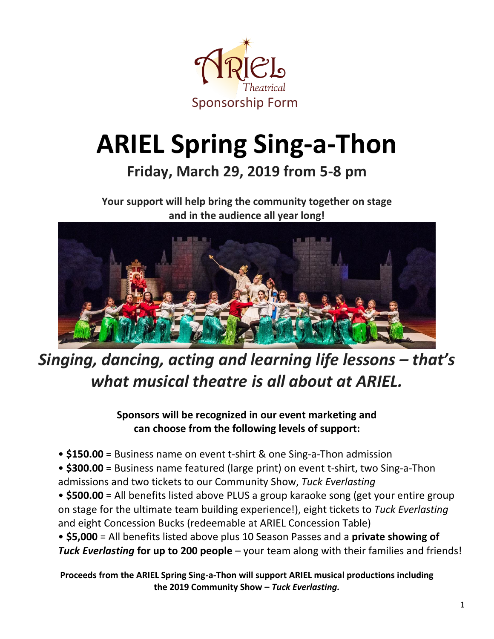

# **ARIEL Spring Sing-a-Thon**

### **Friday, March 29, 2019 from 5-8 pm**

**Your support will help bring the community together on stage and in the audience all year long!** 



## *Singing, dancing, acting and learning life lessons – that's what musical theatre is all about at ARIEL.*

**Sponsors will be recognized in our event marketing and can choose from the following levels of support:**

- **\$150.00** = Business name on event t-shirt & one Sing-a-Thon admission
- **\$300.00** = Business name featured (large print) on event t-shirt, two Sing-a-Thon admissions and two tickets to our Community Show, *Tuck Everlasting*
- **\$500.00** = All benefits listed above PLUS a group karaoke song (get your entire group on stage for the ultimate team building experience!), eight tickets to *Tuck Everlasting* and eight Concession Bucks (redeemable at ARIEL Concession Table)
- **\$5,000** = All benefits listed above plus 10 Season Passes and a **private showing of** *Tuck Everlasting* **for up to 200 people** – your team along with their families and friends!

**Proceeds from the ARIEL Spring Sing-a-Thon will support ARIEL musical productions including the 2019 Community Show –** *Tuck Everlasting.*